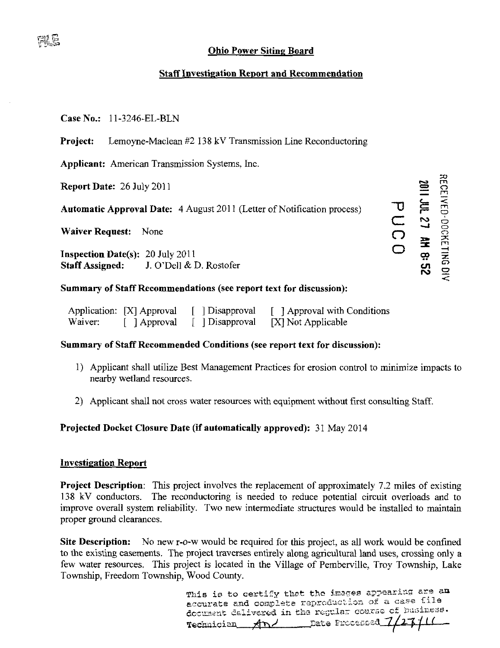# **Ohio Power Siting Board**

# **Staff Investigation Report and Recommendation**

## Case No.: 11-3246-EL-BLN

Project: Lemoyne-Maclean #2 138 kV Transmission Line Reconductoring

**Applicant:** American Transmission Systems, Inc.

Report Date: 26 July 2011

**Automatic Approval Date:** 4 August 2011 (Letter of Notification process)

Waiver Request: None

**Inspection Date(s): 20 July 2011 Staff Assigned:** J. O'Dell & D. Rostofer

# Summary of Staff Recommendations (see report text for discussion):

|         | Application: [X] Approval | [ Disapproval] | [ ] Approval with Conditions |
|---------|---------------------------|----------------|------------------------------|
| Waiver: | [ ] Approval              | [ Disapproval  | [X] Not Applicable           |

### Summary of Staff Recommended Conditions (see report text for discussion):

- 1) Applicant shall utilize Best Management Practices for erosion control to minimize impacts to nearby wetland resources.
- 2) Applicant shall not cross water resources with equipment without first consulting Staff.

## Projected Docket Closure Date (if automatically approved): 31 May 2014

#### **Investigation Report**

**Project Description:** This project involves the replacement of approximately 7.2 miles of existing 138 kV conductors. The reconductoring is needed to reduce potential circuit overloads and to improve overall system reliability. Two new intermediate structures would be installed to maintain proper ground clearances.

Site Description: No new r-o-w would be required for this project, as all work would be confined to the existing easements. The project traverses entirely along agricultural land uses, crossing only a few water resources. This project is located in the Village of Pemberville, Troy Township, Lake Township, Freedom Township, Wood County.

> This is to certify that the images appearing are an accurate and complete reproduction of a case file document dalivered in the regular course of business. Technician And Date Processed

RECEIVED-DOCKETING DIV

25:8 HV 12 TM 1102

PUCO